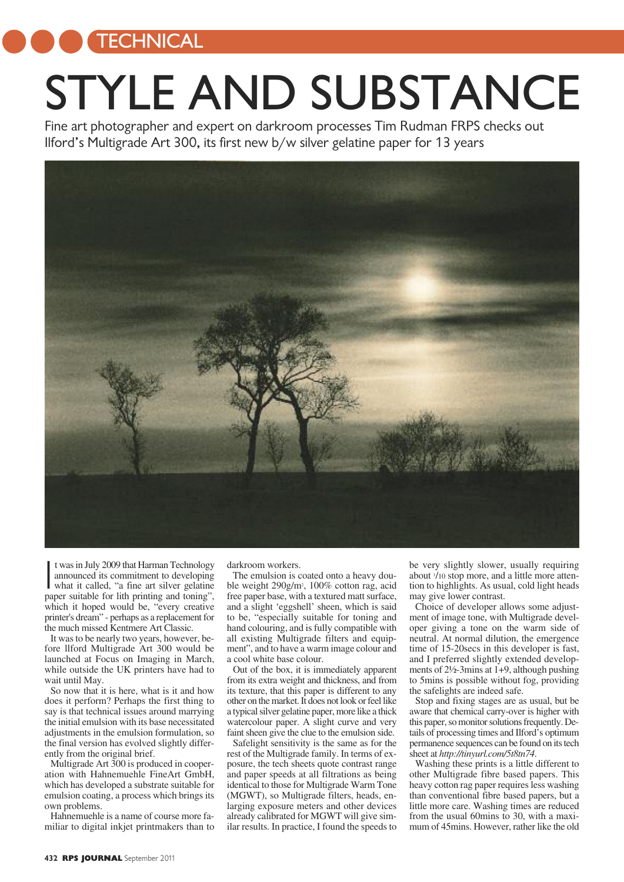**TECHNICAL** 

## STYLE AND SUBSTANCE

Fine art photographer and expert on darkroom processes Tim Rudman FRPS checks out Ilford's Multigrade Art 300, its first new b/w silver gelatine paper for 13 years



 $\overline{\mathbf{I}}$ t wasin July 2009 that Harman Technology announced its commitment to developing what it called, "a fine art silver gelatine paper suitable for lith printing and toning", which it hoped would be, "every creative printer's dream" - perhaps as a replacement for the much missed Kentmere Art Classic.

It was to be nearly two years, however, before llford Multigrade Art 300 would be launched at Focus on Imaging in March, while outside the UK printers have had to wait until May.

So now that it is here, what is it and how does it perform? Perhaps the first thing to say is that technical issues around marrying the initial emulsion with its base necessitated adjustments in the emulsion formulation, so the final version has evolved slightly differently from the original brief.

Multigrade Art 300 is produced in cooperation with Hahnemuehle FineArt GmbH, which has developed a substrate suitable for emulsion coating, a process which brings its own problems.

Hahnemuehle is a name of course more familiar to digital inkjet printmakers than to darkroom workers.

The emulsion is coated onto a heavy double weight 290g/m2 , 100% cotton rag, acid free paper base, with a textured matt surface, and a slight 'eggshell' sheen, which is said to be, "especially suitable for toning and hand colouring, and is fully compatible with all existing Multigrade filters and equipment", and to have a warm image colour and a cool white base colour.

Out of the box, it is immediately apparent from its extra weight and thickness, and from its texture, that this paper is different to any other on themarket.It does not look orfeel like a typical silver gelatine paper, more like a thick watercolour paper. A slight curve and very faint sheen give the clue to the emulsion side.

Safelight sensitivity is the same as for the rest of the Multigrade family. In terms of exposure, the tech sheets quote contrast range and paper speeds at all filtrations as being identical to those for Multigrade Warm Tone (MGWT), so Multigrade filters, heads, enlarging exposure meters and other devices already calibrated for MGWT will give similar results. In practice, I found the speeds to

be very slightly slower, usually requiring about <sup>1</sup> /10 stop more, and a little more attention to highlights. As usual, cold light heads may give lower contrast.

Choice of developer allows some adjustment of image tone, with Multigrade developer giving a tone on the warm side of neutral. At normal dilution, the emergence time of 15-20secs in this developer is fast, and I preferred slightly extended developments of 2½-3mins at 1+9, although pushing to 5mins is possible without fog, providing the safelights are indeed safe.

Stop and fixing stages are as usual, but be aware that chemical carry-over is higher with this paper, so monitor solutions frequently. Details of processing times and Ilford's optimum permanence sequences can be found on its tech sheet at *http://tinyurl.com/5t8tn74*.

Washing these prints is a little different to other Multigrade fibre based papers. This heavy cotton rag paper requires less washing than conventional fibre based papers, but a little more care. Washing times are reduced from the usual 60mins to 30, with a maximum of 45mins. However, rather like the old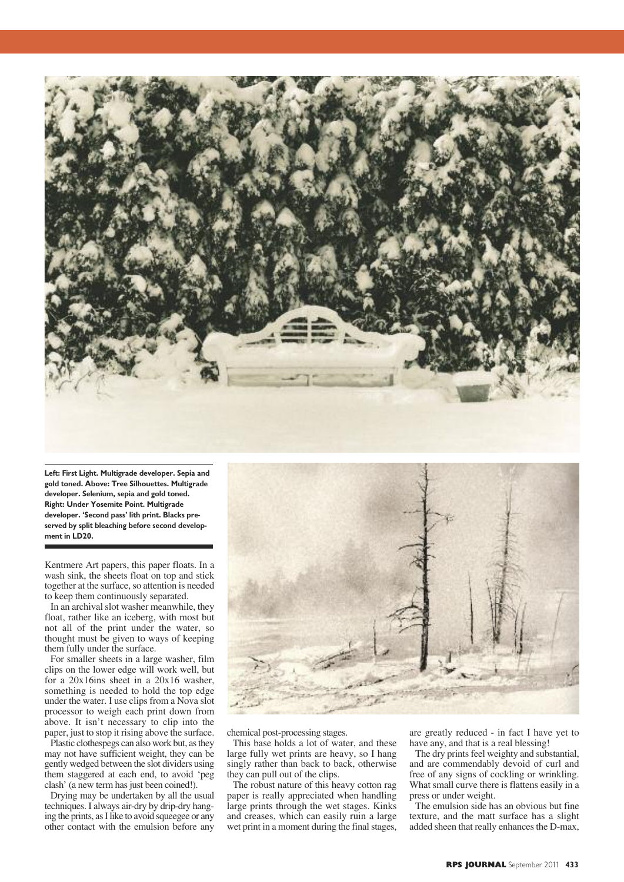

**Left: First Light. Multigrade developer. Sepia and gold toned. Above: Tree Silhouettes. Multigrade developer. Selenium, sepia and gold toned. Right: Under Yosemite Point. Multigrade developer. 'Second pass' lith print. Blacks preserved by split bleaching before second development in LD20.**

Kentmere Art papers, this paper floats. In a wash sink, the sheets float on top and stick together at the surface, so attention is needed to keep them continuously separated.

In an archival slot washer meanwhile, they float, rather like an iceberg, with most but not all of the print under the water, so thought must be given to ways of keeping them fully under the surface.

For smaller sheets in a large washer, film clips on the lower edge will work well, but for a 20x16ins sheet in a 20x16 washer, something is needed to hold the top edge under the water. I use clips from a Nova slot processor to weigh each print down from above. It isn't necessary to clip into the paper, just to stop it rising above the surface.

Plastic clothespegs can also work but, asthey may not have sufficient weight, they can be gently wedged between the slot dividers using them staggered at each end, to avoid 'peg clash' (a new term has just been coined!).

Drying may be undertaken by all the usual techniques. I always air-dry by drip-dry hanging the prints, as I like to avoid squeegee or any other contact with the emulsion before any



chemical post-processing stages.

This base holds a lot of water, and these large fully wet prints are heavy, so I hang singly rather than back to back, otherwise they can pull out of the clips.

The robust nature of this heavy cotton rag paper is really appreciated when handling large prints through the wet stages. Kinks and creases, which can easily ruin a large wet print in a moment during the final stages,

are greatly reduced - in fact I have yet to have any, and that is a real blessing!

The dry prints feel weighty and substantial, and are commendably devoid of curl and free of any signs of cockling or wrinkling. What small curve there is flattens easily in a press or under weight.

The emulsion side has an obvious but fine texture, and the matt surface has a slight added sheen that really enhances the D-max,